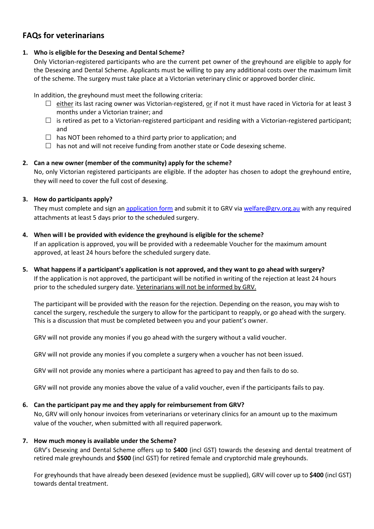# **FAQs for veterinarians**

# **1. Who is eligible for the Desexing and Dental Scheme?**

Only Victorian-registered participants who are the current pet owner of the greyhound are eligible to apply for the Desexing and Dental Scheme. Applicants must be willing to pay any additional costs over the maximum limit of the scheme. The surgery must take place at a Victorian veterinary clinic or approved border clinic.

In addition, the greyhound must meet the following criteria:

- $\Box$  either its last racing owner was Victorian-registered, or if not it must have raced in Victoria for at least 3 months under a Victorian trainer; and
- $\Box$  is retired as pet to a Victorian-registered participant and residing with a Victorian-registered participant; and
- $\Box$  has NOT been rehomed to a third party prior to application; and
- $\Box$  has not and will not receive funding from another state or Code desexing scheme.

# **2. Can a new owner (member of the community) apply for the scheme?**

No, only Victorian registered participants are eligible. If the adopter has chosen to adopt the greyhound entire, they will need to cover the full cost of desexing.

# **3. How do participants apply?**

They must complete and sign an [application form](https://greyhoundcare.grv.org.au/wp-content/uploads/2021/06/GRV-Desexing-and-Dental-Scheme-Application-Form.pdf) and submit it to GRV via [welfare@grv.org.au](mailto:welfare@grv.org.au) with any required attachments at least 5 days prior to the scheduled surgery.

- **4. When will I be provided with evidence the greyhound is eligible for the scheme?** If an application is approved, you will be provided with a redeemable Voucher for the maximum amount approved, at least 24 hours before the scheduled surgery date.
- **5. What happens if a participant's application is not approved, and they want to go ahead with surgery?** If the application is not approved, the participant will be notified in writing of the rejection at least 24 hours prior to the scheduled surgery date. Veterinarians will not be informed by GRV.

The participant will be provided with the reason for the rejection. Depending on the reason, you may wish to cancel the surgery, reschedule the surgery to allow for the participant to reapply, or go ahead with the surgery. This is a discussion that must be completed between you and your patient's owner.

GRV will not provide any monies if you go ahead with the surgery without a valid voucher.

GRV will not provide any monies if you complete a surgery when a voucher has not been issued.

GRV will not provide any monies where a participant has agreed to pay and then fails to do so.

GRV will not provide any monies above the value of a valid voucher, even if the participants fails to pay.

## **6. Can the participant pay me and they apply for reimbursement from GRV?**

No, GRV will only honour invoices from veterinarians or veterinary clinics for an amount up to the maximum value of the voucher, when submitted with all required paperwork.

## **7. How much money is available under the Scheme?**

GRV's Desexing and Dental Scheme offers up to **\$400** (incl GST) towards the desexing and dental treatment of retired male greyhounds and **\$500** (incl GST) for retired female and cryptorchid male greyhounds.

For greyhounds that have already been desexed (evidence must be supplied), GRV will cover up to **\$400** (incl GST) towards dental treatment.